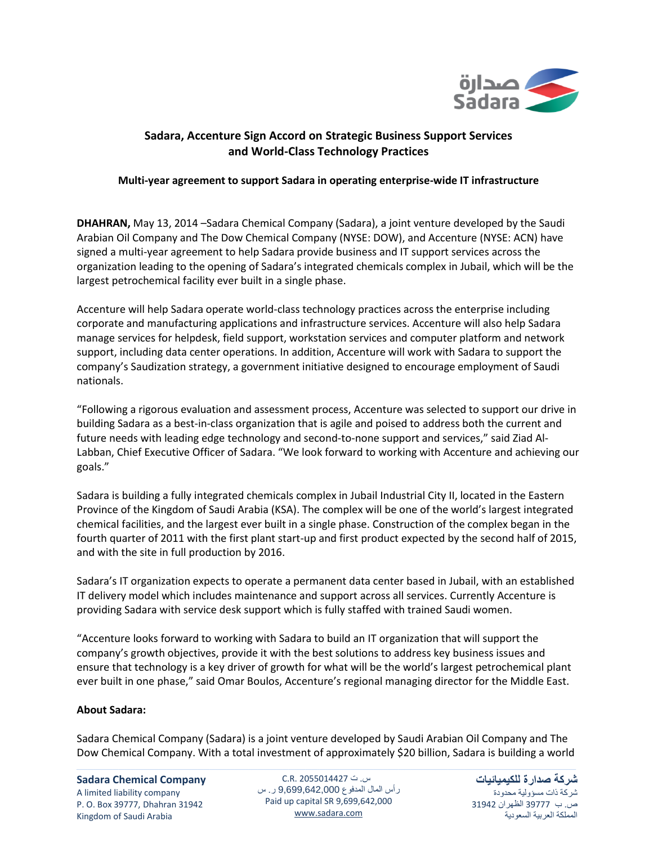

# **Sadara, Accenture Sign Accord on Strategic Business Support Services and World-Class Technology Practices**

# **Multi-year agreement to support Sadara in operating enterprise-wide IT infrastructure**

**DHAHRAN,** May 13, 2014 –Sadara Chemical Company (Sadara), a joint venture developed by the Saudi Arabian Oil Company and The Dow Chemical Company (NYSE: DOW), and Accenture (NYSE: ACN) have signed a multi-year agreement to help Sadara provide business and IT support services across the organization leading to the opening of Sadara's integrated chemicals complex in Jubail, which will be the largest petrochemical facility ever built in a single phase.

Accenture will help Sadara operate world-class technology practices across the enterprise including corporate and manufacturing applications and infrastructure services. Accenture will also help Sadara manage services for helpdesk, field support, workstation services and computer platform and network support, including data center operations. In addition, Accenture will work with Sadara to support the company's Saudization strategy, a government initiative designed to encourage employment of Saudi nationals.

"Following a rigorous evaluation and assessment process, Accenture was selected to support our drive in building Sadara as a best-in-class organization that is agile and poised to address both the current and future needs with leading edge technology and second-to-none support and services," said Ziad Al-Labban, Chief Executive Officer of Sadara. "We look forward to working with Accenture and achieving our goals."

Sadara is building a fully integrated chemicals complex in Jubail Industrial City II, located in the Eastern Province of the Kingdom of Saudi Arabia (KSA). The complex will be one of the world's largest integrated chemical facilities, and the largest ever built in a single phase. Construction of the complex began in the fourth quarter of 2011 with the first plant start-up and first product expected by the second half of 2015, and with the site in full production by 2016.

Sadara's IT organization expects to operate a permanent data center based in Jubail, with an established IT delivery model which includes maintenance and support across all services. Currently Accenture is providing Sadara with service desk support which is fully staffed with trained Saudi women.

"Accenture looks forward to working with Sadara to build an IT organization that will support the company's growth objectives, provide it with the best solutions to address key business issues and ensure that technology is a key driver of growth for what will be the world's largest petrochemical plant ever built in one phase," said Omar Boulos, Accenture's regional managing director for the Middle East.

## **About Sadara:**

Sadara Chemical Company (Sadara) is a joint venture developed by Saudi Arabian Oil Company and The Dow Chemical Company. With a total investment of approximately \$20 billion, Sadara is building a world

## **Sadara Chemical Company**

A limited liability company Kingdom of Saudi Arabia

P. O. Box 39777, Dhahran 31942 Paid up capital SR 9,699,642,000 س. ت 2055014427 .R.C رأس المال المدفوع 9,699,642,000 ر. س www.sadara.com

**شركة صدارة للكيميائيات** شركة ذات مسؤولية محدودة ص. ب 77333 الظهران 74713 المملكة العربية السعودية